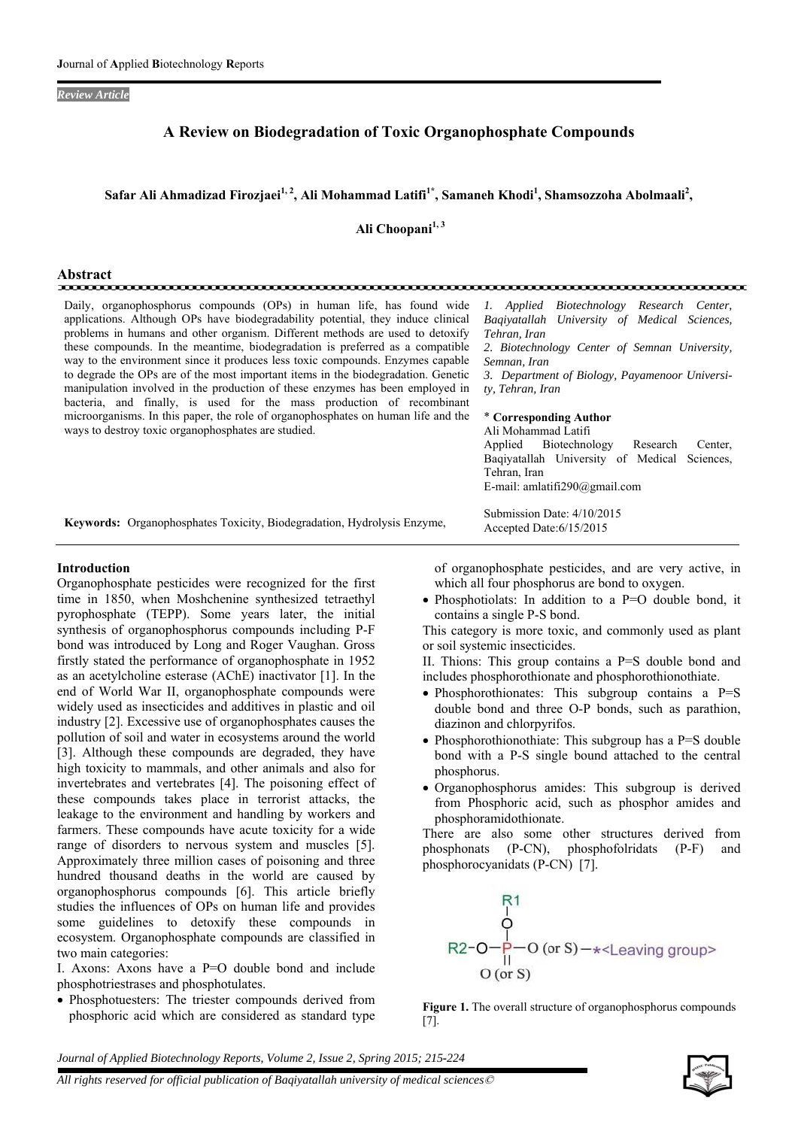### *Review Article*

# **A Review on Biodegradation of Toxic Organophosphate Compounds**

## Safar Ali Ahmadizad Firozjaei<sup>1, 2</sup>, Ali Mohammad Latifi<sup>1\*</sup>, Samaneh Khodi<sup>1</sup>, Shamsozzoha Abolmaali<sup>2</sup>,

Ali Choopani<sup>1, 3</sup>

| Abstract                                                                                                                                                                                                                                                                                                                                                                                                                                                                                                                                                                                                                                                                                                                                                                                                 |                                                                                                                                                                                                                                                                                                                                                                                                                                                       |
|----------------------------------------------------------------------------------------------------------------------------------------------------------------------------------------------------------------------------------------------------------------------------------------------------------------------------------------------------------------------------------------------------------------------------------------------------------------------------------------------------------------------------------------------------------------------------------------------------------------------------------------------------------------------------------------------------------------------------------------------------------------------------------------------------------|-------------------------------------------------------------------------------------------------------------------------------------------------------------------------------------------------------------------------------------------------------------------------------------------------------------------------------------------------------------------------------------------------------------------------------------------------------|
| Daily, organophosphorus compounds (OPs) in human life, has found wide<br>applications. Although OPs have biodegradability potential, they induce clinical<br>problems in humans and other organism. Different methods are used to detoxify<br>these compounds. In the meantime, biodegradation is preferred as a compatible<br>way to the environment since it produces less toxic compounds. Enzymes capable<br>to degrade the OPs are of the most important items in the biodegradation. Genetic<br>manipulation involved in the production of these enzymes has been employed in<br>bacteria, and finally, is used for the mass production of recombinant<br>microorganisms. In this paper, the role of organophosphates on human life and the<br>ways to destroy toxic organophosphates are studied. | 1. Applied Biotechnology Research Center,<br>Bagivatallah University of Medical Sciences,<br>Tehran, Iran<br>2. Biotechnology Center of Semnan University,<br>Semnan, Iran<br>3. Department of Biology, Payamenoor Universi-<br>ty, Tehran, Iran<br>* Corresponding Author<br>Ali Mohammad Latifi<br>Applied Biotechnology<br>Research<br>Center,<br>Bagiyatallah University of Medical<br>Sciences,<br>Tehran, Iran<br>E-mail: amlatifi290@gmail.com |
| <b>Keywords:</b> Organophosphates Toxicity, Biodegradation, Hydrolysis Enzyme,                                                                                                                                                                                                                                                                                                                                                                                                                                                                                                                                                                                                                                                                                                                           | Submission Date: 4/10/2015<br>Accepted Date: 6/15/2015                                                                                                                                                                                                                                                                                                                                                                                                |

### **Introduction**

Organophosphate pesticides were recognized for the first time in 1850, when Moshchenine synthesized tetraethyl pyrophosphate (TEPP). Some years later, the initial synthesis of organophosphorus compounds including P-F bond was introduced by Long and Roger Vaughan. Gross firstly stated the performance of organophosphate in 1952 as an acetylcholine esterase (AChE) inactivator [1]. In the end of World War II, organophosphate compounds were widely used as insecticides and additives in plastic and oil industry [2]. Excessive use of organophosphates causes the pollution of soil and water in ecosystems around the world [3]. Although these compounds are degraded, they have high toxicity to mammals, and other animals and also for invertebrates and vertebrates [4]. The poisoning effect of these compounds takes place in terrorist attacks, the leakage to the environment and handling by workers and farmers. These compounds have acute toxicity for a wide range of disorders to nervous system and muscles [5]. Approximately three million cases of poisoning and three hundred thousand deaths in the world are caused by organophosphorus compounds [6]. This article briefly studies the influences of OPs on human life and provides some guidelines to detoxify these compounds in ecosystem. Organophosphate compounds are classified in two main categories:

I. Axons: Axons have a P=O double bond and include phosphotriestrases and phosphotulates.

• Phosphotuesters: The triester compounds derived from phosphoric acid which are considered as standard type

of organophosphate pesticides, and are very active, in which all four phosphorus are bond to oxygen.

 Phosphotiolats: In addition to a P=O double bond, it contains a single P-S bond.

This category is more toxic, and commonly used as plant or soil systemic insecticides.

II. Thions: This group contains a P=S double bond and includes phosphorothionate and phosphorothionothiate.

- Phosphorothionates: This subgroup contains a P=S double bond and three O-P bonds, such as parathion, diazinon and chlorpyrifos.
- Phosphorothionothiate: This subgroup has a  $P=S$  double bond with a P-S single bound attached to the central phosphorus.
- Organophosphorus amides: This subgroup is derived from Phosphoric acid, such as phosphor amides and phosphoramidothionate.

There are also some other structures derived from phosphonats (P-CN), phosphofolridats (P-F) and phosphorocyanidats (P-CN) [7].



**Figure 1.** The overall structure of organophosphorus compounds [7].

*Journal of Applied Biotechnology Reports, Volume 2, Issue 2, Spring 2015; 215-224*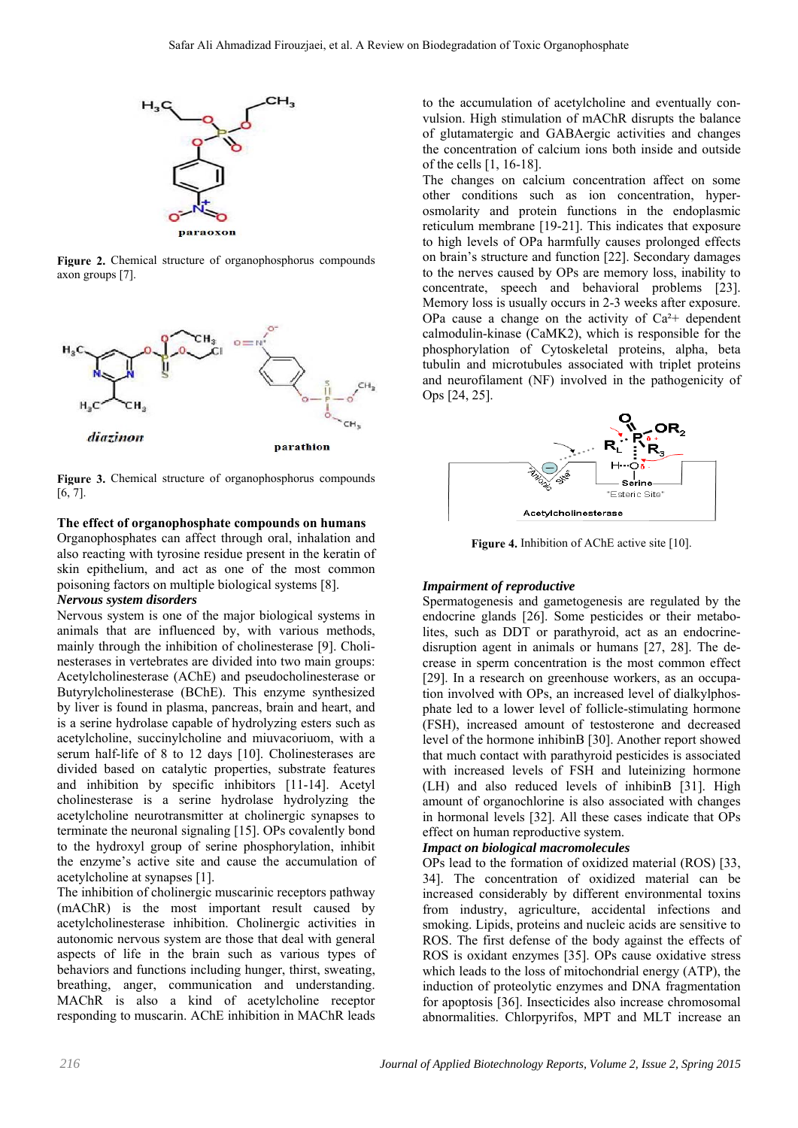

**Figure 2.** Chemical structure of organophosphorus compounds axon groups [7].



**Figure 3.** Chemical structure of organophosphorus compounds [6, 7].

### **The effect of organophosphate compounds on humans**

Organophosphates can affect through oral, inhalation and also reacting with tyrosine residue present in the keratin of skin epithelium, and act as one of the most common poisoning factors on multiple biological systems [8].

### *Nervous system disorders*

Nervous system is one of the major biological systems in animals that are influenced by, with various methods, mainly through the inhibition of cholinesterase [9]. Cholinesterases in vertebrates are divided into two main groups: Acetylcholinesterase (AChE) and pseudocholinesterase or Butyrylcholinesterase (BChE). This enzyme synthesized by liver is found in plasma, pancreas, brain and heart, and is a serine hydrolase capable of hydrolyzing esters such as acetylcholine, succinylcholine and miuvacoriuom, with a serum half-life of 8 to 12 days [10]. Cholinesterases are divided based on catalytic properties, substrate features and inhibition by specific inhibitors [11-14]. Acetyl cholinesterase is a serine hydrolase hydrolyzing the acetylcholine neurotransmitter at cholinergic synapses to terminate the neuronal signaling [15]. OPs covalently bond to the hydroxyl group of serine phosphorylation, inhibit the enzyme's active site and cause the accumulation of acetylcholine at synapses [1].

The inhibition of cholinergic muscarinic receptors pathway (mAChR) is the most important result caused by acetylcholinesterase inhibition. Cholinergic activities in autonomic nervous system are those that deal with general aspects of life in the brain such as various types of behaviors and functions including hunger, thirst, sweating, breathing, anger, communication and understanding. MAChR is also a kind of acetylcholine receptor responding to muscarin. AChE inhibition in MAChR leads

to the accumulation of acetylcholine and eventually convulsion. High stimulation of mAChR disrupts the balance of glutamatergic and GABAergic activities and changes the concentration of calcium ions both inside and outside of the cells [1, 16-18].

The changes on calcium concentration affect on some other conditions such as ion concentration, hyperosmolarity and protein functions in the endoplasmic reticulum membrane [19-21]. This indicates that exposure to high levels of OPa harmfully causes prolonged effects on brain's structure and function [22]. Secondary damages to the nerves caused by OPs are memory loss, inability to concentrate, speech and behavioral problems [23]. Memory loss is usually occurs in 2-3 weeks after exposure. OPa cause a change on the activity of  $Ca^{2+}$  dependent calmodulin-kinase (CaMK2), which is responsible for the phosphorylation of Cytoskeletal proteins, alpha, beta tubulin and microtubules associated with triplet proteins and neurofilament (NF) involved in the pathogenicity of Ops [24, 25].



**Figure 4.** Inhibition of AChE active site [10].

#### *Impairment of reproductive*

Spermatogenesis and gametogenesis are regulated by the endocrine glands [26]. Some pesticides or their metabolites, such as DDT or parathyroid, act as an endocrinedisruption agent in animals or humans [27, 28]. The decrease in sperm concentration is the most common effect [29]. In a research on greenhouse workers, as an occupation involved with OPs, an increased level of dialkylphosphate led to a lower level of follicle-stimulating hormone (FSH), increased amount of testosterone and decreased level of the hormone inhibinB [30]. Another report showed that much contact with parathyroid pesticides is associated with increased levels of FSH and luteinizing hormone (LH) and also reduced levels of inhibinB [31]. High amount of organochlorine is also associated with changes in hormonal levels [32]. All these cases indicate that OPs effect on human reproductive system.

### *Impact on biological macromolecules*

OPs lead to the formation of oxidized material (ROS) [33, 34]. The concentration of oxidized material can be increased considerably by different environmental toxins from industry, agriculture, accidental infections and smoking. Lipids, proteins and nucleic acids are sensitive to ROS. The first defense of the body against the effects of ROS is oxidant enzymes [35]. OPs cause oxidative stress which leads to the loss of mitochondrial energy (ATP), the induction of proteolytic enzymes and DNA fragmentation for apoptosis [36]. Insecticides also increase chromosomal abnormalities. Chlorpyrifos, MPT and MLT increase an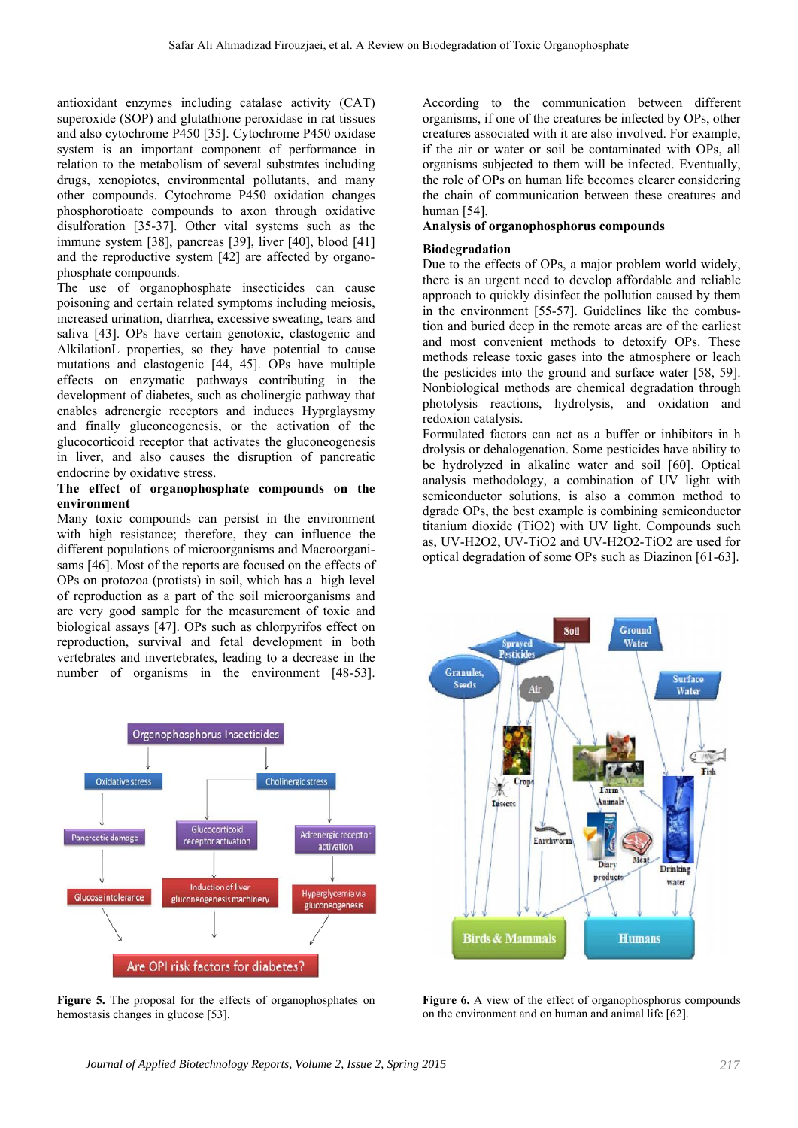antioxidant enzymes including catalase activity (CAT) superoxide (SOP) and glutathione peroxidase in rat tissues and also cytochrome P450 [35]. Cytochrome P450 oxidase system is an important component of performance in relation to the metabolism of several substrates including drugs, xenopiotcs, environmental pollutants, and many other compounds. Cytochrome P450 oxidation changes phosphorotioate compounds to axon through oxidative disulforation [35-37]. Other vital systems such as the immune system [38], pancreas [39], liver [40], blood [41] and the reproductive system [42] are affected by organophosphate compounds.

The use of organophosphate insecticides can cause poisoning and certain related symptoms including meiosis, increased urination, diarrhea, excessive sweating, tears and saliva [43]. OPs have certain genotoxic, clastogenic and AlkilationL properties, so they have potential to cause mutations and clastogenic [44, 45]. OPs have multiple effects on enzymatic pathways contributing in the development of diabetes, such as cholinergic pathway that enables adrenergic receptors and induces Hyprglaysmy and finally gluconeogenesis, or the activation of the glucocorticoid receptor that activates the gluconeogenesis in liver, and also causes the disruption of pancreatic endocrine by oxidative stress.

### **The effect of organophosphate compounds on the environment**

Many toxic compounds can persist in the environment with high resistance; therefore, they can influence the different populations of microorganisms and Macroorganisams [46]. Most of the reports are focused on the effects of OPs on protozoa (protists) in soil, which has a high level of reproduction as a part of the soil microorganisms and are very good sample for the measurement of toxic and biological assays [47]. OPs such as chlorpyrifos effect on reproduction, survival and fetal development in both vertebrates and invertebrates, leading to a decrease in the number of organisms in the environment [48-53].



**Figure 5.** The proposal for the effects of organophosphates on hemostasis changes in glucose [53].

According to the communication between different organisms, if one of the creatures be infected by OPs, other creatures associated with it are also involved. For example, if the air or water or soil be contaminated with OPs, all organisms subjected to them will be infected. Eventually, the role of OPs on human life becomes clearer considering the chain of communication between these creatures and human [54].

## **Analysis of organophosphorus compounds**

### **Biodegradation**

Due to the effects of OPs, a major problem world widely, there is an urgent need to develop affordable and reliable approach to quickly disinfect the pollution caused by them in the environment [55-57]. Guidelines like the combustion and buried deep in the remote areas are of the earliest and most convenient methods to detoxify OPs. These methods release toxic gases into the atmosphere or leach the pesticides into the ground and surface water [58, 59]. Nonbiological methods are chemical degradation through photolysis reactions, hydrolysis, and oxidation and redoxion catalysis.

Formulated factors can act as a buffer or inhibitors in h drolysis or dehalogenation. Some pesticides have ability to be hydrolyzed in alkaline water and soil [60]. Optical analysis methodology, a combination of UV light with semiconductor solutions, is also a common method to dgrade OPs, the best example is combining semiconductor titanium dioxide (TiO2) with UV light. Compounds such as, UV-H2O2, UV-TiO2 and UV-H2O2-TiO2 are used for optical degradation of some OPs such as Diazinon [61-63].



Figure 6. A view of the effect of organophosphorus compounds on the environment and on human and animal life [62].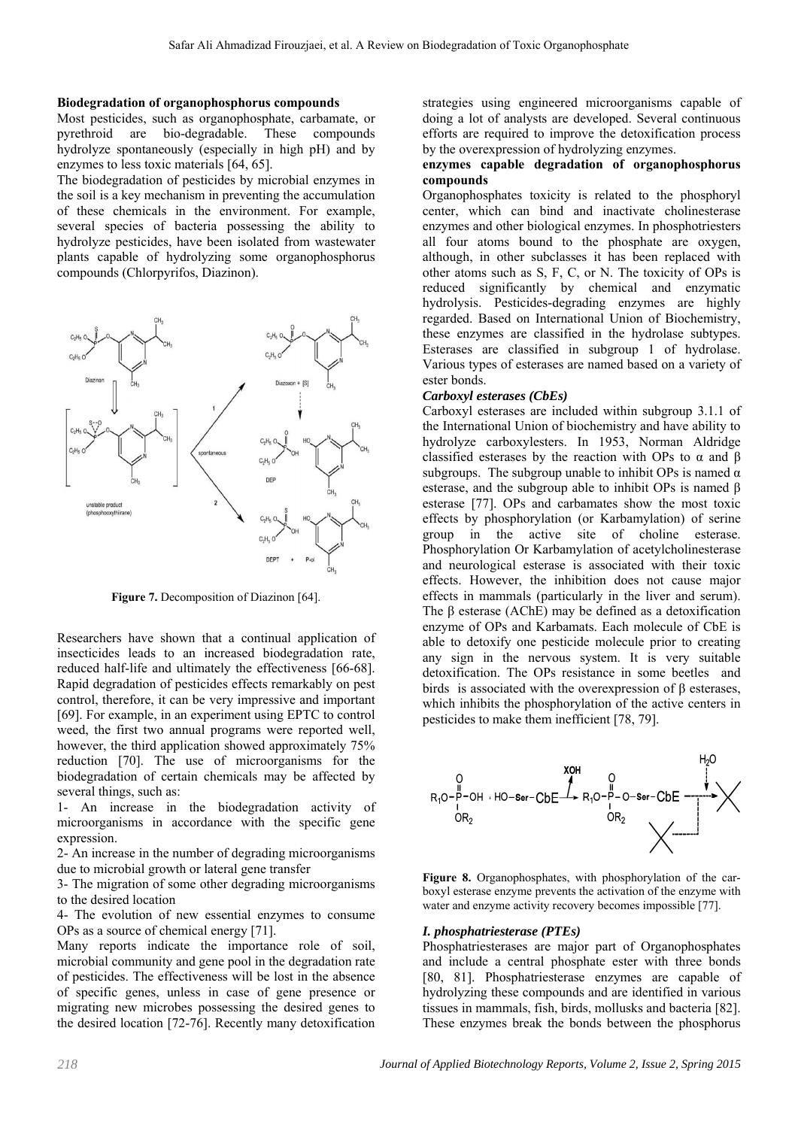#### **Biodegradation of organophosphorus compounds**

Most pesticides, such as organophosphate, carbamate, or pyrethroid are bio-degradable. These compounds hydrolyze spontaneously (especially in high pH) and by enzymes to less toxic materials [64, 65].

The biodegradation of pesticides by microbial enzymes in the soil is a key mechanism in preventing the accumulation of these chemicals in the environment. For example, several species of bacteria possessing the ability to hydrolyze pesticides, have been isolated from wastewater plants capable of hydrolyzing some organophosphorus compounds (Chlorpyrifos, Diazinon).



**Figure 7.** Decomposition of Diazinon [64].

Researchers have shown that a continual application of insecticides leads to an increased biodegradation rate, reduced half-life and ultimately the effectiveness [66-68]. Rapid degradation of pesticides effects remarkably on pest control, therefore, it can be very impressive and important [69]. For example, in an experiment using EPTC to control weed, the first two annual programs were reported well, however, the third application showed approximately 75% reduction [70]. The use of microorganisms for the biodegradation of certain chemicals may be affected by several things, such as:

1- An increase in the biodegradation activity of microorganisms in accordance with the specific gene expression.

2- An increase in the number of degrading microorganisms due to microbial growth or lateral gene transfer

3- The migration of some other degrading microorganisms to the desired location

4- The evolution of new essential enzymes to consume OPs as a source of chemical energy [71].

Many reports indicate the importance role of soil, microbial community and gene pool in the degradation rate of pesticides. The effectiveness will be lost in the absence of specific genes, unless in case of gene presence or migrating new microbes possessing the desired genes to the desired location [72-76]. Recently many detoxification strategies using engineered microorganisms capable of doing a lot of analysts are developed. Several continuous efforts are required to improve the detoxification process by the overexpression of hydrolyzing enzymes.

### **enzymes capable degradation of organophosphorus compounds**

Organophosphates toxicity is related to the phosphoryl center, which can bind and inactivate cholinesterase enzymes and other biological enzymes. In phosphotriesters all four atoms bound to the phosphate are oxygen, although, in other subclasses it has been replaced with other atoms such as S, F, C, or N. The toxicity of OPs is reduced significantly by chemical and enzymatic hydrolysis. Pesticides-degrading enzymes are highly regarded. Based on International Union of Biochemistry, these enzymes are classified in the hydrolase subtypes. Esterases are classified in subgroup 1 of hydrolase. Various types of esterases are named based on a variety of ester bonds.

#### *Carboxyl esterases (CbEs)*

Carboxyl esterases are included within subgroup 3.1.1 of the International Union of biochemistry and have ability to hydrolyze carboxylesters. In 1953, Norman Aldridge classified esterases by the reaction with OPs to  $\alpha$  and  $\beta$ subgroups. The subgroup unable to inhibit OPs is named  $\alpha$ esterase, and the subgroup able to inhibit OPs is named β esterase [77]. OPs and carbamates show the most toxic effects by phosphorylation (or Karbamylation) of serine group in the active site of choline esterase. Phosphorylation Or Karbamylation of acetylcholinesterase and neurological esterase is associated with their toxic effects. However, the inhibition does not cause major effects in mammals (particularly in the liver and serum). The β esterase (AChE) may be defined as a detoxification enzyme of OPs and Karbamats. Each molecule of CbE is able to detoxify one pesticide molecule prior to creating any sign in the nervous system. It is very suitable detoxification. The OPs resistance in some beetles and birds is associated with the overexpression of β esterases, which inhibits the phosphorylation of the active centers in pesticides to make them inefficient [78, 79].



**Figure 8.** Organophosphates, with phosphorylation of the carboxyl esterase enzyme prevents the activation of the enzyme with water and enzyme activity recovery becomes impossible [77].

### *I. phosphatriesterase (PTEs)*

Phosphatriesterases are major part of Organophosphates and include a central phosphate ester with three bonds [80, 81]. Phosphatriesterase enzymes are capable of hydrolyzing these compounds and are identified in various tissues in mammals, fish, birds, mollusks and bacteria [82]. These enzymes break the bonds between the phosphorus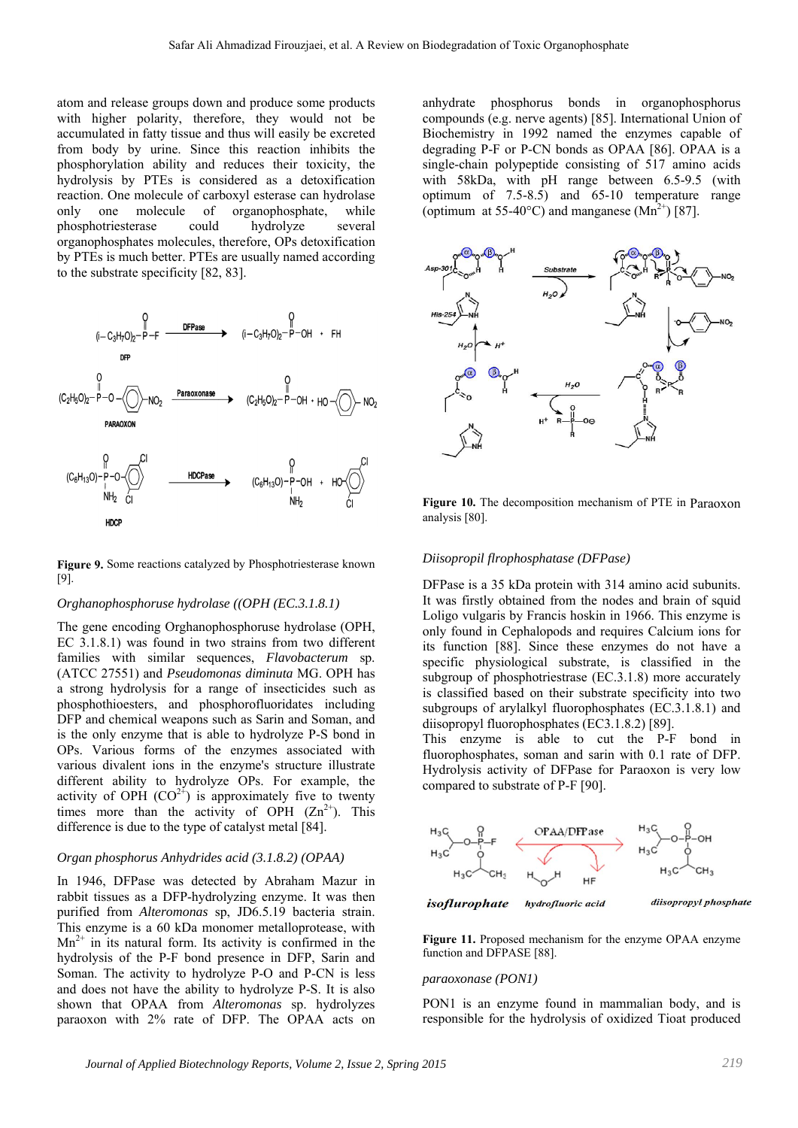atom and release groups down and produce some products with higher polarity, therefore, they would not be accumulated in fatty tissue and thus will easily be excreted from body by urine. Since this reaction inhibits the phosphorylation ability and reduces their toxicity, the hydrolysis by PTEs is considered as a detoxification reaction. One molecule of carboxyl esterase can hydrolase only one molecule of organophosphate, while phosphotriesterase could hydrolyze several organophosphates molecules, therefore, OPs detoxification by PTEs is much better. PTEs are usually named according to the substrate specificity [82, 83].



**Figure 9.** Some reactions catalyzed by Phosphotriesterase known [9].

#### *Orghanophosphoruse hydrolase ((OPH (EC.3.1.8.1)*

The gene encoding Orghanophosphoruse hydrolase (OPH, EC 3.1.8.1) was found in two strains from two different families with similar sequences, *Flavobacterum* sp. (ATCC 27551) and *Pseudomonas diminuta* MG. OPH has a strong hydrolysis for a range of insecticides such as phosphothioesters, and phosphorofluoridates including DFP and chemical weapons such as Sarin and Soman, and is the only enzyme that is able to hydrolyze P-S bond in OPs. Various forms of the enzymes associated with various divalent ions in the enzyme's structure illustrate different ability to hydrolyze OPs. For example, the activity of OPH  $(CO^{2+})$  is approximately five to twenty times more than the activity of OPH  $(Zn^{2+})$ . This difference is due to the type of catalyst metal [84].

### *Organ phosphorus Anhydrides acid (3.1.8.2) (OPAA)*

In 1946, DFPase was detected by Abraham Mazur in rabbit tissues as a DFP-hydrolyzing enzyme. It was then purified from *Alteromonas* sp, JD6.5.19 bacteria strain. This enzyme is a 60 kDa monomer metalloprotease, with  $Mn^{2+}$  in its natural form. Its activity is confirmed in the hydrolysis of the P-F bond presence in DFP, Sarin and Soman. The activity to hydrolyze P-O and P-CN is less and does not have the ability to hydrolyze P-S. It is also shown that OPAA from *Alteromonas* sp. hydrolyzes paraoxon with 2% rate of DFP. The OPAA acts on

anhydrate phosphorus bonds in organophosphorus compounds (e.g. nerve agents) [85]. International Union of Biochemistry in 1992 named the enzymes capable of degrading P-F or P-CN bonds as OPAA [86]. OPAA is a single-chain polypeptide consisting of 517 amino acids with 58kDa, with pH range between 6.5-9.5 (with optimum of 7.5-8.5) and 65-10 temperature range (optimum at 55-40 $^{\circ}$ C) and manganese (Mn<sup>2+</sup>) [87].



**Figure 10.** The decomposition mechanism of PTE in Paraoxon analysis [80].

#### *Diisopropil flrophosphatase (DFPase)*

DFPase is a 35 kDa protein with 314 amino acid subunits. It was firstly obtained from the nodes and brain of squid Loligo vulgaris by Francis hoskin in 1966. This enzyme is only found in Cephalopods and requires Calcium ions for its function [88]. Since these enzymes do not have a specific physiological substrate, is classified in the subgroup of phosphotriestrase (EC.3.1.8) more accurately is classified based on their substrate specificity into two subgroups of arylalkyl fluorophosphates (EC.3.1.8.1) and diisopropyl fluorophosphates (EC3.1.8.2) [89].

This enzyme is able to cut the P-F bond in fluorophosphates, soman and sarin with 0.1 rate of DFP. Hydrolysis activity of DFPase for Paraoxon is very low compared to substrate of P-F [90].



**Figure 11.** Proposed mechanism for the enzyme OPAA enzyme function and DFPASE [88].

#### *paraoxonase (PON1)*

PON1 is an enzyme found in mammalian body, and is responsible for the hydrolysis of oxidized Tioat produced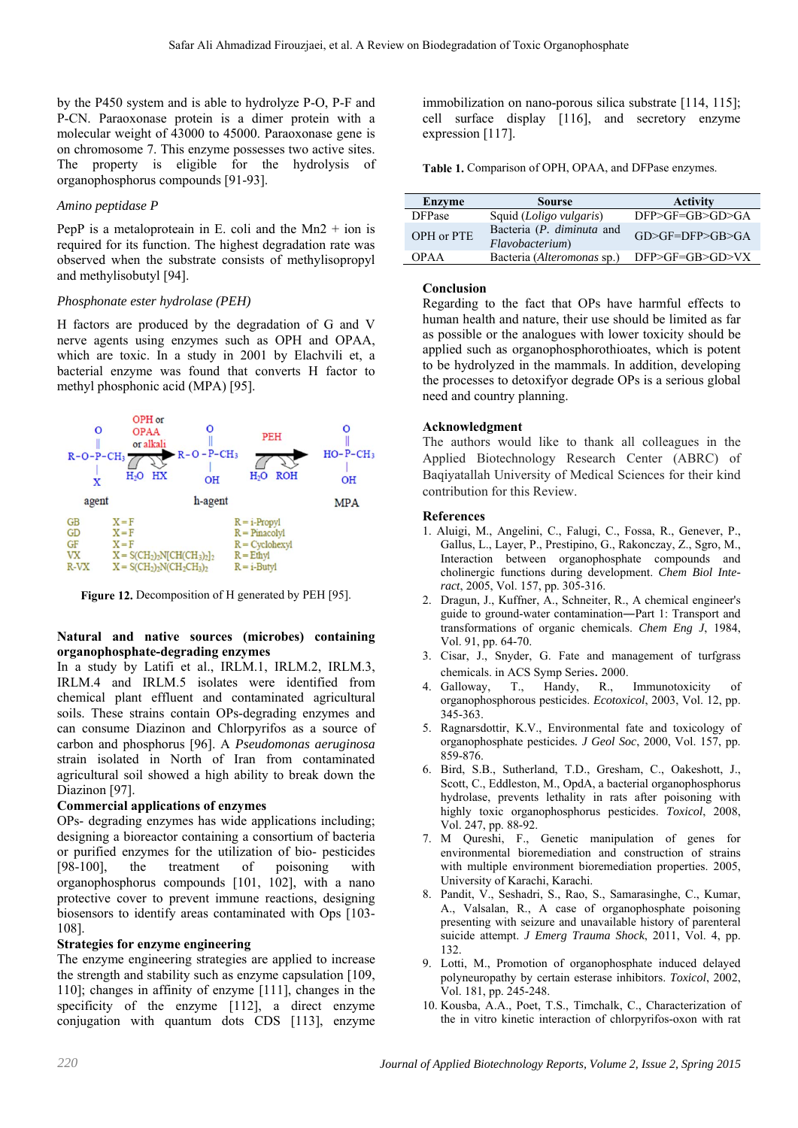by the P450 system and is able to hydrolyze P-O, P-F and P-CN. Paraoxonase protein is a dimer protein with a molecular weight of 43000 to 45000. Paraoxonase gene is on chromosome 7. This enzyme possesses two active sites. The property is eligible for the hydrolysis of organophosphorus compounds [91-93].

### *Amino peptidase P*

PepP is a metaloproteain in E. coli and the Mn2  $+$  ion is required for its function. The highest degradation rate was observed when the substrate consists of methylisopropyl and methylisobutyl [94].

### *Phosphonate ester hydrolase (PEH)*

H factors are produced by the degradation of G and V nerve agents using enzymes such as OPH and OPAA, which are toxic. In a study in 2001 by Elachvili et, a bacterial enzyme was found that converts H factor to methyl phosphonic acid (MPA) [95].



Figure 12. Decomposition of H generated by PEH [95].

### **Natural and native sources (microbes) containing organophosphate-degrading enzymes**

In a study by Latifi et al., IRLM.1, IRLM.2, IRLM.3, IRLM.4 and IRLM.5 isolates were identified from chemical plant effluent and contaminated agricultural soils. These strains contain OPs-degrading enzymes and can consume Diazinon and Chlorpyrifos as a source of carbon and phosphorus [96]. A *Pseudomonas aeruginosa* strain isolated in North of Iran from contaminated agricultural soil showed a high ability to break down the Diazinon [97].

## **Commercial applications of enzymes**

OPs- degrading enzymes has wide applications including; designing a bioreactor containing a consortium of bacteria or purified enzymes for the utilization of bio- pesticides [98-100], the treatment of poisoning with organophosphorus compounds [101, 102], with a nano protective cover to prevent immune reactions, designing biosensors to identify areas contaminated with Ops [103- 108].

## **Strategies for enzyme engineering**

The enzyme engineering strategies are applied to increase the strength and stability such as enzyme capsulation [109, 110]; changes in affinity of enzyme [111], changes in the specificity of the enzyme [112], a direct enzyme conjugation with quantum dots CDS [113], enzyme

immobilization on nano-porous silica substrate [114, 115]; cell surface display [116], and secretory enzyme expression [117].

**Table 1.** Comparison of OPH, OPAA, and DFPase enzymes.

| Enzyme        | <b>Sourse</b>                                | <b>Activity</b>           |
|---------------|----------------------------------------------|---------------------------|
| <b>DFPase</b> | Squid ( <i>Loligo vulgaris</i> )             | DFP>GF=GB>GD>GA           |
| OPH or PTE    | Bacteria (P. diminuta and<br>Flavobacterium) | $GD> GF = DFP> GB> GA$    |
| OPA A         | Bacteria (Alteromonas sp.)                   | $DFP > GF = GB > GD > VX$ |

## **Conclusion**

Regarding to the fact that OPs have harmful effects to human health and nature, their use should be limited as far as possible or the analogues with lower toxicity should be applied such as organophosphorothioates, which is potent to be hydrolyzed in the mammals. In addition, developing the processes to detoxifyor degrade OPs is a serious global need and country planning.

### **Acknowledgment**

The authors would like to thank all colleagues in the Applied Biotechnology Research Center (ABRC) of Baqiyatallah University of Medical Sciences for their kind contribution for this Review.

### **References**

- 1. Aluigi, M., Angelini, C., Falugi, C., Fossa, R., Genever, P., Gallus, L., Layer, P., Prestipino, G., Rakonczay, Z., Sgro, M., Interaction between organophosphate compounds and cholinergic functions during development. *Chem Biol Interact*, 2005, Vol. 157, pp. 305-316.
- 2. Dragun, J., Kuffner, A., Schneiter, R., A chemical engineer's guide to ground-water contamination―Part 1: Transport and transformations of organic chemicals. *Chem Eng J*, 1984, Vol. 91, pp. 64-70.
- 3. Cisar, J., Snyder, G. Fate and management of turfgrass chemicals. in ACS Symp Series. 2000.<br>Galloway, T., Handy, R.,
- 4. Galloway, T., Handy, R., Immunotoxicity of organophosphorous pesticides. *Ecotoxicol*, 2003, Vol. 12, pp. 345-363.
- 5. Ragnarsdottir, K.V., Environmental fate and toxicology of organophosphate pesticides*. J Geol Soc*, 2000, Vol. 157, pp. 859-876.
- 6. Bird, S.B., Sutherland, T.D., Gresham, C., Oakeshott, J., Scott, C., Eddleston, M., OpdA, a bacterial organophosphorus hydrolase, prevents lethality in rats after poisoning with highly toxic organophosphorus pesticides. *Toxicol*, 2008, Vol. 247, pp. 88-92.
- 7. M Qureshi, F., Genetic manipulation of genes for environmental bioremediation and construction of strains with multiple environment bioremediation properties. 2005, University of Karachi, Karachi.
- 8. Pandit, V., Seshadri, S., Rao, S., Samarasinghe, C., Kumar, A., Valsalan, R., A case of organophosphate poisoning presenting with seizure and unavailable history of parenteral suicide attempt. *J Emerg Trauma Shock*, 2011, Vol. 4, pp. 132.
- 9. Lotti, M., Promotion of organophosphate induced delayed polyneuropathy by certain esterase inhibitors. *Toxicol*, 2002, Vol. 181, pp. 245-248.
- 10. Kousba, A.A., Poet, T.S., Timchalk, C., Characterization of the in vitro kinetic interaction of chlorpyrifos-oxon with rat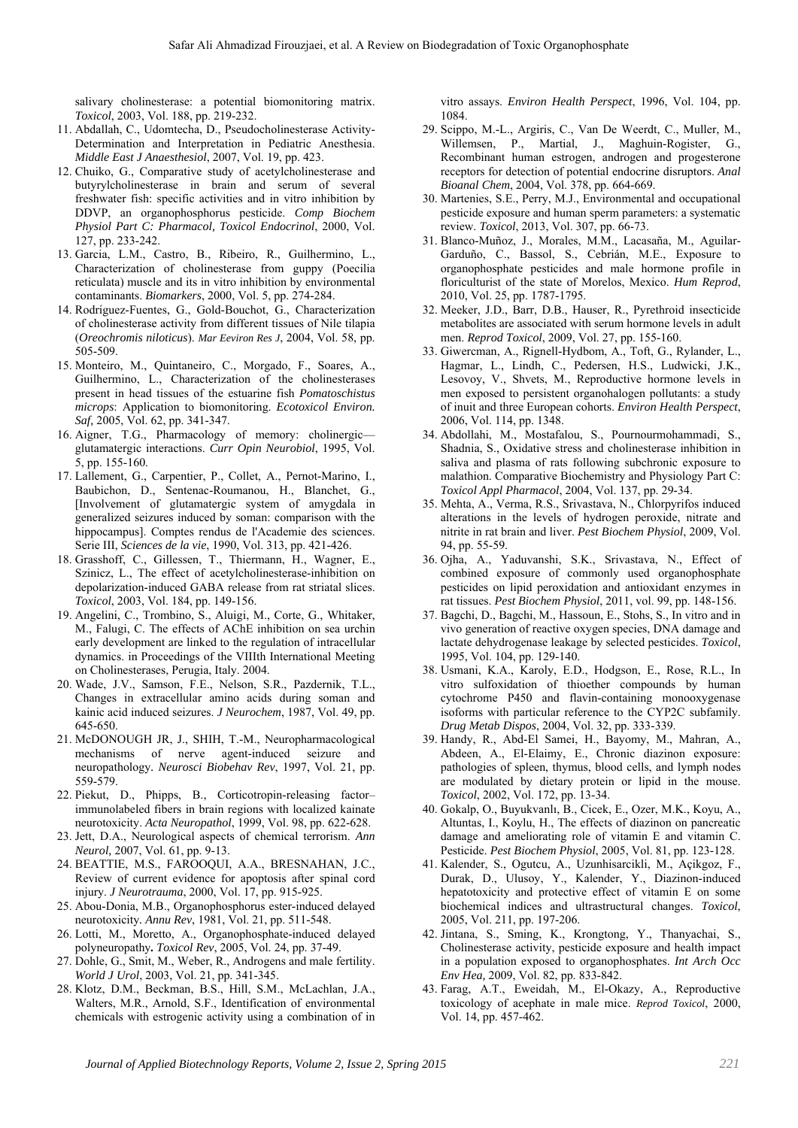salivary cholinesterase: a potential biomonitoring matrix. *Toxicol*, 2003, Vol. 188, pp. 219-232.

- 11. Abdallah, C., Udomtecha, D., Pseudocholinesterase Activity-Determination and Interpretation in Pediatric Anesthesia. *Middle East J Anaesthesiol*, 2007, Vol. 19, pp. 423.
- 12. Chuiko, G., Comparative study of acetylcholinesterase and butyrylcholinesterase in brain and serum of several freshwater fish: specific activities and in vitro inhibition by DDVP, an organophosphorus pesticide. *Comp Biochem Physiol Part C: Pharmacol, Toxicol Endocrinol*, 2000, Vol. 127, pp. 233-242.
- 13. Garcia, L.M., Castro, B., Ribeiro, R., Guilhermino, L., Characterization of cholinesterase from guppy (Poecilia reticulata) muscle and its in vitro inhibition by environmental contaminants. *Biomarkers*, 2000, Vol. 5, pp. 274-284.
- 14. Rodríguez-Fuentes, G., Gold-Bouchot, G., Characterization of cholinesterase activity from different tissues of Nile tilapia (*Oreochromis niloticus*). *Mar Eeviron Res J*, 2004, Vol. 58, pp. 505-509.
- 15. Monteiro, M., Quintaneiro, C., Morgado, F., Soares, A., Guilhermino, L., Characterization of the cholinesterases present in head tissues of the estuarine fish *Pomatoschistus microps*: Application to biomonitoring. *Ecotoxicol Environ. Saf,* 2005, Vol. 62, pp. 341-347.
- 16. Aigner, T.G., Pharmacology of memory: cholinergic glutamatergic interactions. *Curr Opin Neurobiol*, 1995, Vol. 5, pp. 155-160.
- 17. Lallement, G., Carpentier, P., Collet, A., Pernot-Marino, I., Baubichon, D., Sentenac-Roumanou, H., Blanchet, G., [Involvement of glutamatergic system of amygdala in generalized seizures induced by soman: comparison with the hippocampus]. Comptes rendus de l'Academie des sciences. Serie III, *Sciences de la vie*, 1990, Vol. 313, pp. 421-426.
- 18. Grasshoff, C., Gillessen, T., Thiermann, H., Wagner, E., Szinicz, L., The effect of acetylcholinesterase-inhibition on depolarization-induced GABA release from rat striatal slices. *Toxicol*, 2003, Vol. 184, pp. 149-156.
- 19. Angelini, C., Trombino, S., Aluigi, M., Corte, G., Whitaker, M., Falugi, C. The effects of AChE inhibition on sea urchin early development are linked to the regulation of intracellular dynamics. in Proceedings of the VIIIth International Meeting on Cholinesterases, Perugia, Italy. 2004.
- 20. Wade, J.V., Samson, F.E., Nelson, S.R., Pazdernik, T.L., Changes in extracellular amino acids during soman and kainic acid induced seizures. *J Neurochem*, 1987, Vol. 49, pp. 645-650.
- 21. McDONOUGH JR, J., SHIH, T.-M., Neuropharmacological mechanisms of nerve agent-induced seizure and neuropathology*. Neurosci Biobehav Rev*, 1997, Vol. 21, pp. 559-579.
- 22. Piekut, D., Phipps, B., Corticotropin-releasing factor– immunolabeled fibers in brain regions with localized kainate neurotoxicity. *Acta Neuropathol*, 1999, Vol. 98, pp. 622-628.
- 23. Jett, D.A., Neurological aspects of chemical terrorism. *Ann Neurol,* 2007, Vol. 61, pp. 9-13.
- 24. BEATTIE, M.S., FAROOQUI, A.A., BRESNAHAN, J.C., Review of current evidence for apoptosis after spinal cord injury. *J Neurotrauma*, 2000, Vol. 17, pp. 915-925.
- 25. Abou-Donia, M.B., Organophosphorus ester-induced delayed neurotoxicity*. Annu Rev*, 1981, Vol. 21, pp. 511-548.
- 26. Lotti, M., Moretto, A., Organophosphate-induced delayed polyneuropathy*. Toxicol Rev*, 2005, Vol. 24, pp. 37-49.
- 27. Dohle, G., Smit, M., Weber, R., Androgens and male fertility. *World J Urol*, 2003, Vol. 21, pp. 341-345.
- 28. Klotz, D.M., Beckman, B.S., Hill, S.M., McLachlan, J.A., Walters, M.R., Arnold, S.F., Identification of environmental chemicals with estrogenic activity using a combination of in

vitro assays. *Environ Health Perspect*, 1996, Vol. 104, pp. 1084.

- 29. Scippo, M.-L., Argiris, C., Van De Weerdt, C., Muller, M., Willemsen, P., Martial, J., Maghuin-Rogister, G., Recombinant human estrogen, androgen and progesterone receptors for detection of potential endocrine disruptors. *Anal Bioanal Chem*, 2004, Vol. 378, pp. 664-669.
- 30. Martenies, S.E., Perry, M.J., Environmental and occupational pesticide exposure and human sperm parameters: a systematic review. *Toxicol*, 2013, Vol. 307, pp. 66-73.
- 31. Blanco-Muñoz, J., Morales, M.M., Lacasaña, M., Aguilar-Garduño, C., Bassol, S., Cebrián, M.E., Exposure to organophosphate pesticides and male hormone profile in floriculturist of the state of Morelos, Mexico. *Hum Reprod*, 2010, Vol. 25, pp. 1787-1795.
- 32. Meeker, J.D., Barr, D.B., Hauser, R., Pyrethroid insecticide metabolites are associated with serum hormone levels in adult men. *Reprod Toxicol*, 2009, Vol. 27, pp. 155-160.
- 33. Giwercman, A., Rignell-Hydbom, A., Toft, G., Rylander, L., Hagmar, L., Lindh, C., Pedersen, H.S., Ludwicki, J.K., Lesovoy, V., Shvets, M., Reproductive hormone levels in men exposed to persistent organohalogen pollutants: a study of inuit and three European cohorts. *Environ Health Perspect*, 2006, Vol. 114, pp. 1348.
- 34. Abdollahi, M., Mostafalou, S., Pournourmohammadi, S., Shadnia, S., Oxidative stress and cholinesterase inhibition in saliva and plasma of rats following subchronic exposure to malathion. Comparative Biochemistry and Physiology Part C: *Toxicol Appl Pharmacol*, 2004, Vol. 137, pp. 29-34.
- 35. Mehta, A., Verma, R.S., Srivastava, N., Chlorpyrifos induced alterations in the levels of hydrogen peroxide, nitrate and nitrite in rat brain and liver. *Pest Biochem Physiol*, 2009, Vol. 94, pp. 55-59.
- 36. Ojha, A., Yaduvanshi, S.K., Srivastava, N., Effect of combined exposure of commonly used organophosphate pesticides on lipid peroxidation and antioxidant enzymes in rat tissues. *Pest Biochem Physiol*, 2011, vol. 99, pp. 148-156.
- 37. Bagchi, D., Bagchi, M., Hassoun, E., Stohs, S., In vitro and in vivo generation of reactive oxygen species, DNA damage and lactate dehydrogenase leakage by selected pesticides. *Toxicol*, 1995, Vol. 104, pp. 129-140.
- 38. Usmani, K.A., Karoly, E.D., Hodgson, E., Rose, R.L., In vitro sulfoxidation of thioether compounds by human cytochrome P450 and flavin-containing monooxygenase isoforms with particular reference to the CYP2C subfamily. *Drug Metab Dispos*, 2004, Vol. 32, pp. 333-339.
- 39. Handy, R., Abd-El Samei, H., Bayomy, M., Mahran, A., Abdeen, A., El-Elaimy, E., Chronic diazinon exposure: pathologies of spleen, thymus, blood cells, and lymph nodes are modulated by dietary protein or lipid in the mouse. *Toxicol*, 2002, Vol. 172, pp. 13-34.
- 40. Gokalp, O., Buyukvanlı, B., Cicek, E., Ozer, M.K., Koyu, A., Altuntas, I., Koylu, H., The effects of diazinon on pancreatic damage and ameliorating role of vitamin E and vitamin C. Pesticide. *Pest Biochem Physiol*, 2005, Vol. 81, pp. 123-128.
- 41. Kalender, S., Ogutcu, A., Uzunhisarcikli, M., Açikgoz, F., Durak, D., Ulusoy, Y., Kalender, Y., Diazinon-induced hepatotoxicity and protective effect of vitamin E on some biochemical indices and ultrastructural changes. *Toxicol*, 2005, Vol. 211, pp. 197-206.
- 42. Jintana, S., Sming, K., Krongtong, Y., Thanyachai, S., Cholinesterase activity, pesticide exposure and health impact in a population exposed to organophosphates. *Int Arch Occ Env Hea,* 2009, Vol. 82, pp. 833-842.
- 43. Farag, A.T., Eweidah, M., El-Okazy, A., Reproductive toxicology of acephate in male mice. *Reprod Toxicol*, 2000, Vol. 14, pp. 457-462.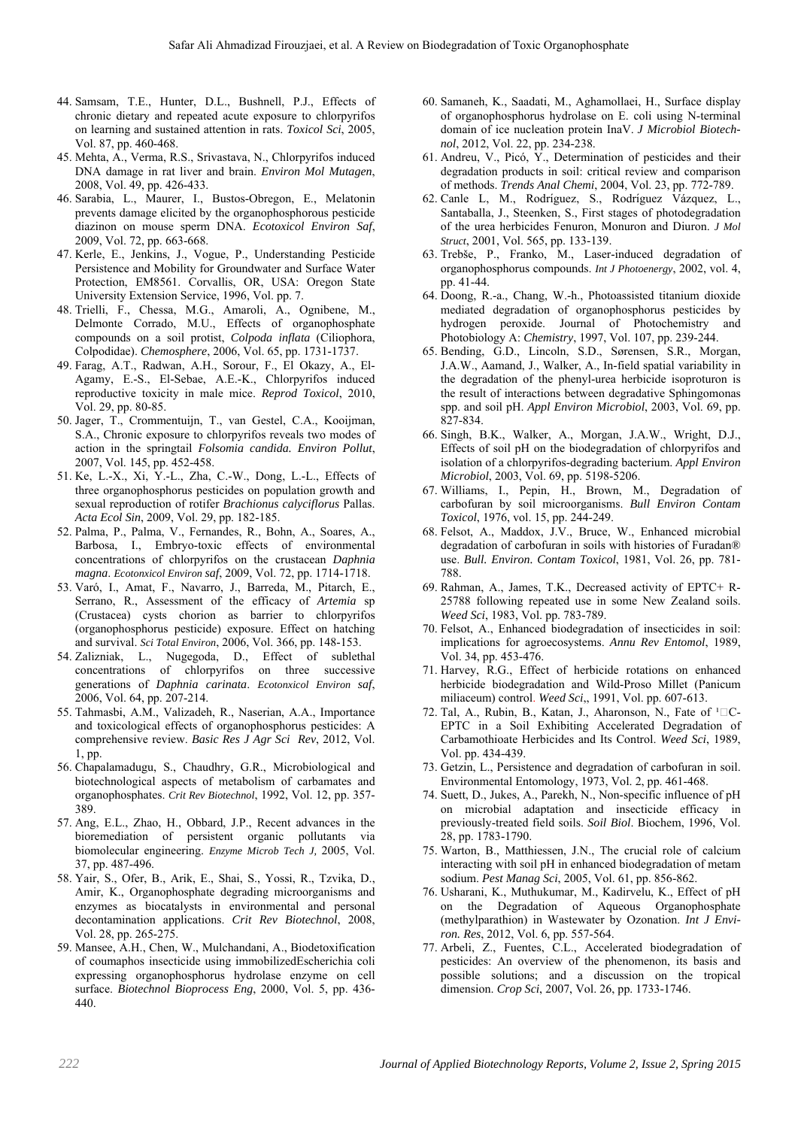- 44. Samsam, T.E., Hunter, D.L., Bushnell, P.J., Effects of chronic dietary and repeated acute exposure to chlorpyrifos on learning and sustained attention in rats. *Toxicol Sci*, 2005, Vol. 87, pp. 460-468.
- 45. Mehta, A., Verma, R.S., Srivastava, N., Chlorpyrifos induced DNA damage in rat liver and brain. *Environ Mol Mutagen*, 2008, Vol. 49, pp. 426-433.
- 46. Sarabia, L., Maurer, I., Bustos-Obregon, E., Melatonin prevents damage elicited by the organophosphorous pesticide diazinon on mouse sperm DNA. *Ecotoxicol Environ Saf*, 2009, Vol. 72, pp. 663-668.
- 47. Kerle, E., Jenkins, J., Vogue, P., Understanding Pesticide Persistence and Mobility for Groundwater and Surface Water Protection, EM8561. Corvallis, OR, USA: Oregon State University Extension Service, 1996, Vol. pp. 7.
- 48. Trielli, F., Chessa, M.G., Amaroli, A., Ognibene, M., Delmonte Corrado, M.U., Effects of organophosphate compounds on a soil protist, *Colpoda inflata* (Ciliophora, Colpodidae). *Chemosphere*, 2006, Vol. 65, pp. 1731-1737.
- 49. Farag, A.T., Radwan, A.H., Sorour, F., El Okazy, A., El-Agamy, E.-S., El-Sebae, A.E.-K., Chlorpyrifos induced reproductive toxicity in male mice. *Reprod Toxicol*, 2010, Vol. 29, pp. 80-85.
- 50. Jager, T., Crommentuijn, T., van Gestel, C.A., Kooijman, S.A., Chronic exposure to chlorpyrifos reveals two modes of action in the springtail *Folsomia candida. Environ Pollut*, 2007, Vol. 145, pp. 452-458.
- 51. Ke, L.-X., Xi, Y.-L., Zha, C.-W., Dong, L.-L., Effects of three organophosphorus pesticides on population growth and sexual reproduction of rotifer *Brachionus calyciflorus* Pallas. *Acta Ecol Sin*, 2009, Vol. 29, pp. 182-185.
- 52. Palma, P., Palma, V., Fernandes, R., Bohn, A., Soares, A., Barbosa, I., Embryo-toxic effects of environmental concentrations of chlorpyrifos on the crustacean *Daphnia magna*. *Ecotonxicol Environ saf*, 2009, Vol. 72, pp. 1714-1718.
- 53. Varó, I., Amat, F., Navarro, J., Barreda, M., Pitarch, E., Serrano, R., Assessment of the efficacy of *Artemia* sp (Crustacea) cysts chorion as barrier to chlorpyrifos (organophosphorus pesticide) exposure. Effect on hatching and survival. *Sci Total Environ*, 2006, Vol. 366, pp. 148-153.
- 54. Zalizniak, L., Nugegoda, D., Effect of sublethal concentrations of chlorpyrifos on three successive generations of *Daphnia carinata*. *Ecotonxicol Environ saf*, 2006, Vol. 64, pp. 207-214.
- 55. Tahmasbi, A.M., Valizadeh, R., Naserian, A.A., Importance and toxicological effects of organophosphorus pesticides: A comprehensive review. *Basic Res J Agr Sci Rev*, 2012, Vol. 1, pp.
- 56. Chapalamadugu, S., Chaudhry, G.R., Microbiological and biotechnological aspects of metabolism of carbamates and organophosphates. *Crit Rev Biotechnol*, 1992, Vol. 12, pp. 357- 389.
- 57. Ang, E.L., Zhao, H., Obbard, J.P., Recent advances in the bioremediation of persistent organic pollutants via biomolecular engineering. *Enzyme Microb Tech J,* 2005, Vol. 37, pp. 487-496.
- 58. Yair, S., Ofer, B., Arik, E., Shai, S., Yossi, R., Tzvika, D., Amir, K., Organophosphate degrading microorganisms and enzymes as biocatalysts in environmental and personal decontamination applications. *Crit Rev Biotechnol*, 2008, Vol. 28, pp. 265-275.
- 59. Mansee, A.H., Chen, W., Mulchandani, A., Biodetoxification of coumaphos insecticide using immobilizedEscherichia coli expressing organophosphorus hydrolase enzyme on cell surface. *Biotechnol Bioprocess Eng*, 2000, Vol. 5, pp. 436- 440.
- 60. Samaneh, K., Saadati, M., Aghamollaei, H., Surface display of organophosphorus hydrolase on E. coli using N-terminal domain of ice nucleation protein InaV. *J Microbiol Biotechnol*, 2012, Vol. 22, pp. 234-238.
- 61. Andreu, V., Picó, Y., Determination of pesticides and their degradation products in soil: critical review and comparison of methods. *Trends Anal Chemi*, 2004, Vol. 23, pp. 772-789.
- 62. Canle L, M., Rodrı́ guez, S., Rodrı́ guez Vázquez, L., Santaballa, J., Steenken, S., First stages of photodegradation of the urea herbicides Fenuron, Monuron and Diuron. *J Mol Struct*, 2001, Vol. 565, pp. 133-139.
- 63. Trebše, P., Franko, M., Laser-induced degradation of organophosphorus compounds. *Int J Photoenergy*, 2002, vol. 4, pp. 41-44.
- 64. Doong, R.-a., Chang, W.-h., Photoassisted titanium dioxide mediated degradation of organophosphorus pesticides by hydrogen peroxide. Journal of Photochemistry and Photobiology A: *Chemistry*, 1997, Vol. 107, pp. 239-244.
- 65. Bending, G.D., Lincoln, S.D., Sørensen, S.R., Morgan, J.A.W., Aamand, J., Walker, A., In-field spatial variability in the degradation of the phenyl-urea herbicide isoproturon is the result of interactions between degradative Sphingomonas spp. and soil pH. *Appl Environ Microbiol*, 2003, Vol. 69, pp. 827-834.
- 66. Singh, B.K., Walker, A., Morgan, J.A.W., Wright, D.J., Effects of soil pH on the biodegradation of chlorpyrifos and isolation of a chlorpyrifos-degrading bacterium. *Appl Environ Microbiol*, 2003, Vol. 69, pp. 5198-5206.
- 67. Williams, I., Pepin, H., Brown, M., Degradation of carbofuran by soil microorganisms. *Bull Environ Contam Toxicol*, 1976, vol. 15, pp. 244-249.
- 68. Felsot, A., Maddox, J.V., Bruce, W., Enhanced microbial degradation of carbofuran in soils with histories of Furadan® use. *Bull. Environ. Contam Toxicol*, 1981, Vol. 26, pp. 781- 788.
- 69. Rahman, A., James, T.K., Decreased activity of EPTC+ R-25788 following repeated use in some New Zealand soils. *Weed Sci*, 1983, Vol. pp. 783-789.
- 70. Felsot, A., Enhanced biodegradation of insecticides in soil: implications for agroecosystems. *Annu Rev Entomol*, 1989, Vol. 34, pp. 453-476.
- 71. Harvey, R.G., Effect of herbicide rotations on enhanced herbicide biodegradation and Wild-Proso Millet (Panicum miliaceum) control. *Weed Sci*,, 1991, Vol. pp. 607-613.
- 72. Tal, A., Rubin, B., Katan, J., Aharonson, N., Fate of  $1\square C$ -EPTC in a Soil Exhibiting Accelerated Degradation of Carbamothioate Herbicides and Its Control. *Weed Sci*, 1989, Vol. pp. 434-439.
- 73. Getzin, L., Persistence and degradation of carbofuran in soil. Environmental Entomology, 1973, Vol. 2, pp. 461-468.
- 74. Suett, D., Jukes, A., Parekh, N., Non-specific influence of pH on microbial adaptation and insecticide efficacy in previously-treated field soils. *Soil Biol*. Biochem, 1996, Vol. 28, pp. 1783-1790.
- 75. Warton, B., Matthiessen, J.N., The crucial role of calcium interacting with soil pH in enhanced biodegradation of metam sodium. *Pest Manag Sci*, 2005, Vol. 61, pp. 856-862.
- 76. Usharani, K., Muthukumar, M., Kadirvelu, K., Effect of pH on the Degradation of Aqueous Organophosphate (methylparathion) in Wastewater by Ozonation. *Int J Environ. Res*, 2012, Vol. 6, pp. 557-564.
- 77. Arbeli, Z., Fuentes, C.L., Accelerated biodegradation of pesticides: An overview of the phenomenon, its basis and possible solutions; and a discussion on the tropical dimension. *Crop Sci*, 2007, Vol. 26, pp. 1733-1746.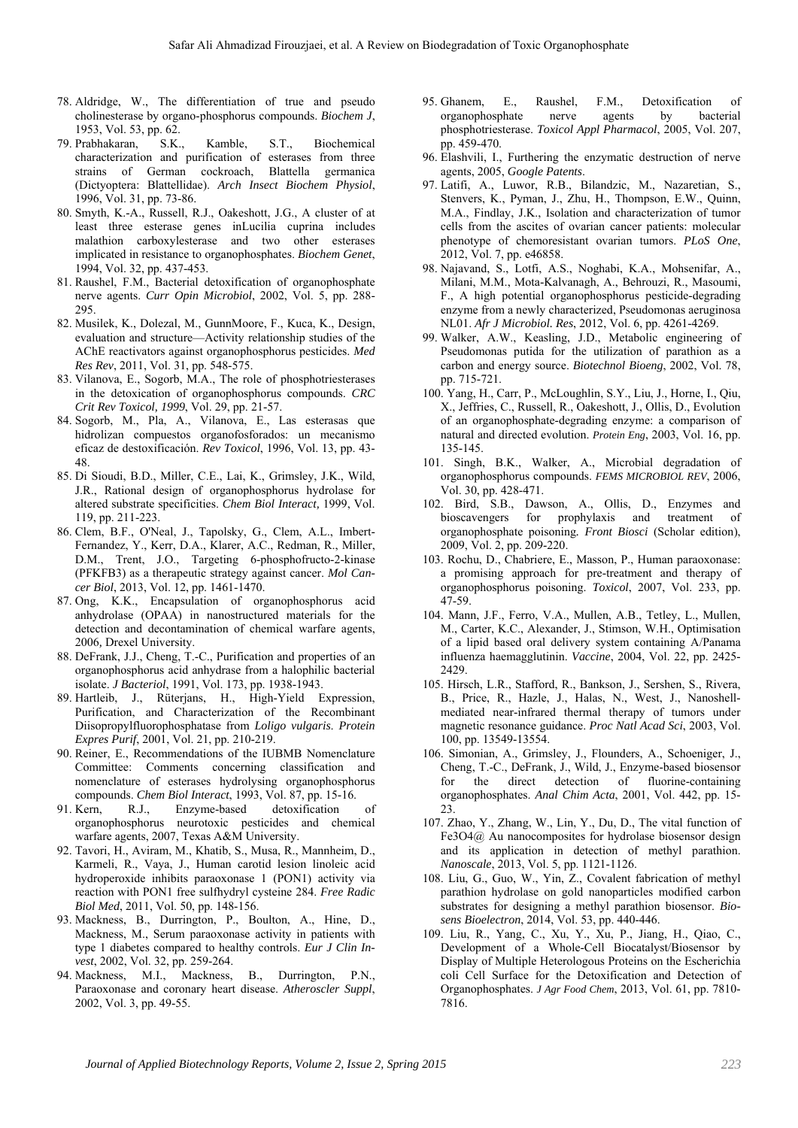- 78. Aldridge, W., The differentiation of true and pseudo cholinesterase by organo-phosphorus compounds. *Biochem J*, 1953, Vol. 53, pp. 62.
- 79. Prabhakaran, S.K., Kamble, S.T., Biochemical characterization and purification of esterases from three strains of German cockroach, Blattella germanica (Dictyoptera: Blattellidae). *Arch Insect Biochem Physiol*, 1996, Vol. 31, pp. 73-86.
- 80. Smyth, K.-A., Russell, R.J., Oakeshott, J.G., A cluster of at least three esterase genes inLucilia cuprina includes malathion carboxylesterase and two other esterases implicated in resistance to organophosphates. *Biochem Genet*, 1994, Vol. 32, pp. 437-453.
- 81. Raushel, F.M., Bacterial detoxification of organophosphate nerve agents. *Curr Opin Microbiol*, 2002, Vol. 5, pp. 288- 295.
- 82. Musilek, K., Dolezal, M., GunnMoore, F., Kuca, K., Design, evaluation and structure—Activity relationship studies of the AChE reactivators against organophosphorus pesticides. *Med Res Rev*, 2011, Vol. 31, pp. 548-575.
- 83. Vilanova, E., Sogorb, M.A., The role of phosphotriesterases in the detoxication of organophosphorus compounds. *CRC Crit Rev Toxicol, 1999*, Vol. 29, pp. 21-57.
- 84. Sogorb, M., Pla, A., Vilanova, E., Las esterasas que hidrolizan compuestos organofosforados: un mecanismo eficaz de destoxificación. *Rev Toxicol*, 1996, Vol. 13, pp. 43- 48.
- 85. Di Sioudi, B.D., Miller, C.E., Lai, K., Grimsley, J.K., Wild, J.R., Rational design of organophosphorus hydrolase for altered substrate specificities. *Chem Biol Interact,* 1999, Vol. 119, pp. 211-223.
- 86. Clem, B.F., O'Neal, J., Tapolsky, G., Clem, A.L., Imbert-Fernandez, Y., Kerr, D.A., Klarer, A.C., Redman, R., Miller, D.M., Trent, J.O., Targeting 6-phosphofructo-2-kinase (PFKFB3) as a therapeutic strategy against cancer. *Mol Cancer Biol*, 2013, Vol. 12, pp. 1461-1470.
- 87. Ong, K.K., Encapsulation of organophosphorus acid anhydrolase (OPAA) in nanostructured materials for the detection and decontamination of chemical warfare agents, 2006*,* Drexel University.
- 88. DeFrank, J.J., Cheng, T.-C., Purification and properties of an organophosphorus acid anhydrase from a halophilic bacterial isolate. *J Bacteriol*, 1991, Vol. 173, pp. 1938-1943.
- 89. Hartleib, J., Rüterjans, H., High-Yield Expression, Purification, and Characterization of the Recombinant Diisopropylfluorophosphatase from *Loligo vulgaris*. *Protein Expres Purif*, 2001, Vol. 21, pp. 210-219.
- 90. Reiner, E., Recommendations of the IUBMB Nomenclature Committee: Comments concerning classification and nomenclature of esterases hydrolysing organophosphorus compounds. *Chem Biol Interact*, 1993, Vol. 87, pp. 15-16.
- 91. Kern, R.J., Enzyme-based detoxification of organophosphorus neurotoxic pesticides and chemical warfare agents, 2007, Texas A&M University.
- 92. Tavori, H., Aviram, M., Khatib, S., Musa, R., Mannheim, D., Karmeli, R., Vaya, J., Human carotid lesion linoleic acid hydroperoxide inhibits paraoxonase 1 (PON1) activity via reaction with PON1 free sulfhydryl cysteine 284. *Free Radic Biol Med*, 2011, Vol. 50, pp. 148-156.
- 93. Mackness, B., Durrington, P., Boulton, A., Hine, D., Mackness, M., Serum paraoxonase activity in patients with type 1 diabetes compared to healthy controls. *Eur J Clin Invest*, 2002, Vol. 32, pp. 259-264.
- 94. Mackness, M.I., Mackness, B., Durrington, P.N., Paraoxonase and coronary heart disease. *Atheroscler Suppl*, 2002, Vol. 3, pp. 49-55.
- 95. Ghanem, E., Raushel, F.M., Detoxification of organophosphate nerve agents by bacterial phosphotriesterase. *Toxicol Appl Pharmacol*, 2005, Vol. 207, pp. 459-470.
- 96. Elashvili, I., Furthering the enzymatic destruction of nerve agents, 2005, *Google Patents*.
- 97. Latifi, A., Luwor, R.B., Bilandzic, M., Nazaretian, S., Stenvers, K., Pyman, J., Zhu, H., Thompson, E.W., Quinn, M.A., Findlay, J.K., Isolation and characterization of tumor cells from the ascites of ovarian cancer patients: molecular phenotype of chemoresistant ovarian tumors. *PLoS One*, 2012, Vol. 7, pp. e46858.
- 98. Najavand, S., Lotfi, A.S., Noghabi, K.A., Mohsenifar, A., Milani, M.M., Mota-Kalvanagh, A., Behrouzi, R., Masoumi, F., A high potential organophosphorus pesticide-degrading enzyme from a newly characterized, Pseudomonas aeruginosa NL01. *Afr J Microbiol. Res*, 2012, Vol. 6, pp. 4261-4269.
- 99. Walker, A.W., Keasling, J.D., Metabolic engineering of Pseudomonas putida for the utilization of parathion as a carbon and energy source. *Biotechnol Bioeng*, 2002, Vol. 78, pp. 715-721.
- 100. Yang, H., Carr, P., McLoughlin, S.Y., Liu, J., Horne, I., Qiu, X., Jeffries, C., Russell, R., Oakeshott, J., Ollis, D., Evolution of an organophosphate-degrading enzyme: a comparison of natural and directed evolution. *Protein Eng*, 2003, Vol. 16, pp. 135-145.
- 101. Singh, B.K., Walker, A., Microbial degradation of organophosphorus compounds. *FEMS MICROBIOL REV*, 2006, Vol. 30, pp. 428-471.
- 102. Bird, S.B., Dawson, A., Ollis, D., Enzymes and bioscavengers for prophylaxis and treatment of organophosphate poisoning*. Front Biosci* (Scholar edition), 2009, Vol. 2, pp. 209-220.
- 103. Rochu, D., Chabriere, E., Masson, P., Human paraoxonase: a promising approach for pre-treatment and therapy of organophosphorus poisoning. *Toxicol*, 2007, Vol. 233, pp. 47-59.
- 104. Mann, J.F., Ferro, V.A., Mullen, A.B., Tetley, L., Mullen, M., Carter, K.C., Alexander, J., Stimson, W.H., Optimisation of a lipid based oral delivery system containing A/Panama influenza haemagglutinin. *Vaccine*, 2004, Vol. 22, pp. 2425- 2429.
- 105. Hirsch, L.R., Stafford, R., Bankson, J., Sershen, S., Rivera, B., Price, R., Hazle, J., Halas, N., West, J., Nanoshellmediated near-infrared thermal therapy of tumors under magnetic resonance guidance. *Proc Natl Acad Sci*, 2003, Vol. 100, pp. 13549-13554.
- 106. Simonian, A., Grimsley, J., Flounders, A., Schoeniger, J., Cheng, T.-C., DeFrank, J., Wild, J., Enzyme-based biosensor for the direct detection of fluorine-containing organophosphates. *Anal Chim Acta*, 2001, Vol. 442, pp. 15-  $23$
- 107. Zhao, Y., Zhang, W., Lin, Y., Du, D., The vital function of Fe3O4@ Au nanocomposites for hydrolase biosensor design and its application in detection of methyl parathion. *Nanoscale*, 2013, Vol. 5, pp. 1121-1126.
- 108. Liu, G., Guo, W., Yin, Z., Covalent fabrication of methyl parathion hydrolase on gold nanoparticles modified carbon substrates for designing a methyl parathion biosensor. *Biosens Bioelectron*, 2014, Vol. 53, pp. 440-446.
- 109. Liu, R., Yang, C., Xu, Y., Xu, P., Jiang, H., Qiao, C., Development of a Whole-Cell Biocatalyst/Biosensor by Display of Multiple Heterologous Proteins on the Escherichia coli Cell Surface for the Detoxification and Detection of Organophosphates. *J Agr Food Chem*, 2013, Vol. 61, pp. 7810- 7816.